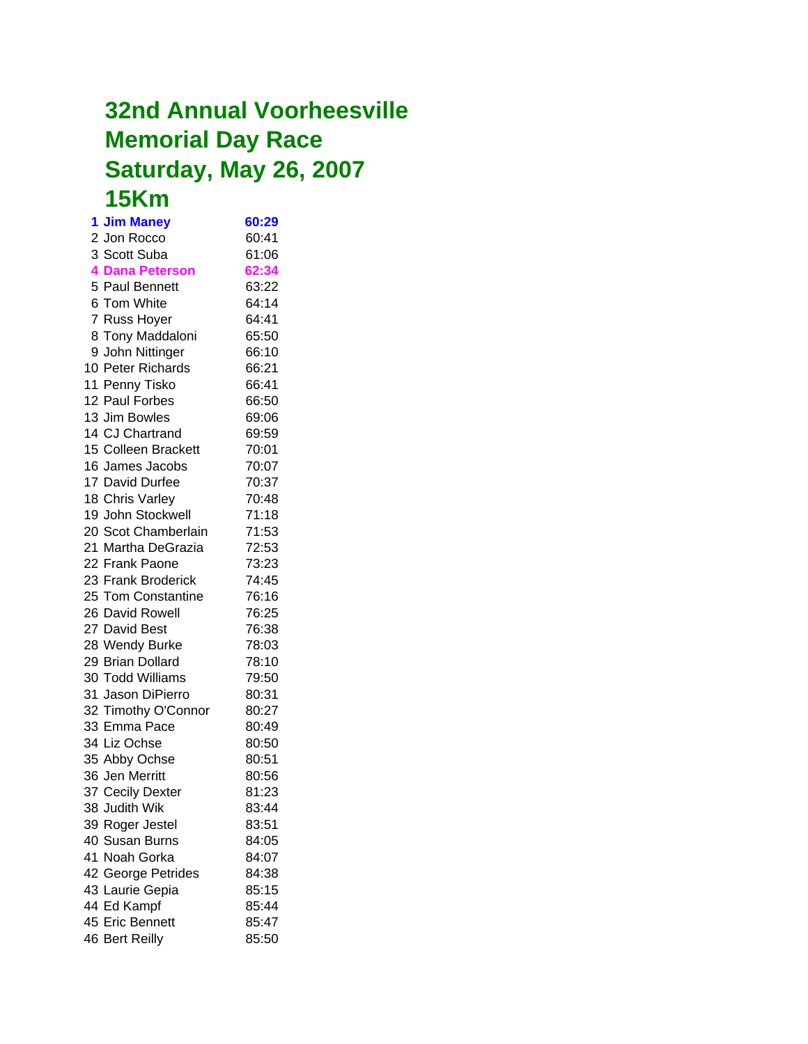## **32nd Annual Voorheesville Memorial Day Race Saturday, May 26, 2007 15Km**

**1 Jim Maney 60:29** 2 Jon Rocco 60:41 3 Scott Suba 61:06 **4 Dana Peterson 62:34** 5 Paul Bennett 63:22 6 Tom White 64:14 7 Russ Hoyer 64:41 8 Tony Maddaloni 65:50 9 John Nittinger 66:10 10 Peter Richards 66:21 11 Penny Tisko 66:41 12 Paul Forbes 66:50 13 Jim Bowles 69:06 14 CJ Chartrand 69:59 15 Colleen Brackett 70:01 16 James Jacobs 70:07 17 David Durfee 70:37 18 Chris Varley 70:48 19 John Stockwell 71:18 20 Scot Chamberlain 71:53 21 Martha DeGrazia 72:53 22 Frank Paone 73:23 23 Frank Broderick 74:45 25 Tom Constantine 76:16 26 David Rowell 76:25 27 David Best 76:38 28 Wendy Burke 78:03 29 Brian Dollard 78:10 30 Todd Williams 79:50 31 Jason DiPierro 80:31 32 Timothy O'Connor 80:27 33 Emma Pace 80:49 34 Liz Ochse 80:50 35 Abby Ochse 80:51 36 Jen Merritt 80:56 37 Cecily Dexter 81:23 38 Judith Wik 83:44 39 Roger Jestel 83:51 40 Susan Burns 84:05 41 Noah Gorka 84:07 42 George Petrides 84:38 43 Laurie Gepia 85:15 44 Ed Kampf 85:44 45 Eric Bennett 85:47 46 Bert Reilly 85:50